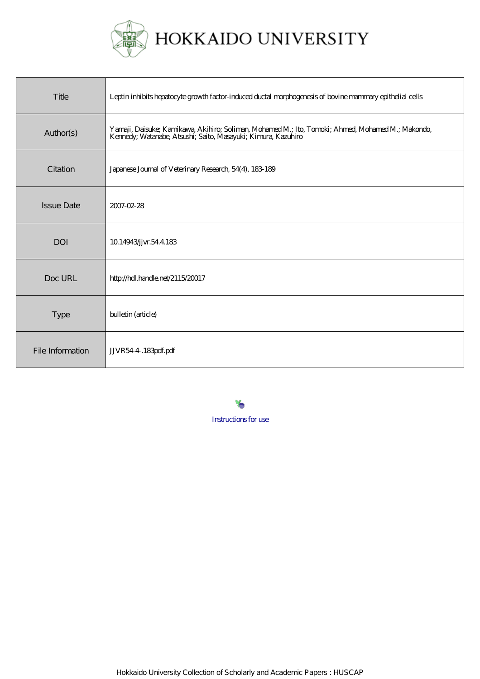

| Title             | Leptin inhibits hepatocyte growth factor-induced ductal morphogenesis of bovine mammary epithelial cells                                                           |
|-------------------|--------------------------------------------------------------------------------------------------------------------------------------------------------------------|
| Author(s)         | Yamaji, Daisuke; Kamikawa, Akihiro; Soliman, Mohamed M.; Ito, Tomoki; Ahmed, Mohamed M.; Makondo,<br>Kennedy, Watanabe, Atsushi; Saito, Masayuki; Kimura, Kazuhiro |
| Citation          | Japanese Journal of Veterinary Research, 54(4), 183-189                                                                                                            |
| <b>Issue Date</b> | 2007-02-28                                                                                                                                                         |
| DOI               | 10.14943/jvr.54.4.183                                                                                                                                              |
| Doc URL           | http://hdl.handle.net/2115/20017                                                                                                                                   |
| <b>Type</b>       | bulletin (article)                                                                                                                                                 |
| File Information  | JJVR54-4.183pdf.pdf                                                                                                                                                |

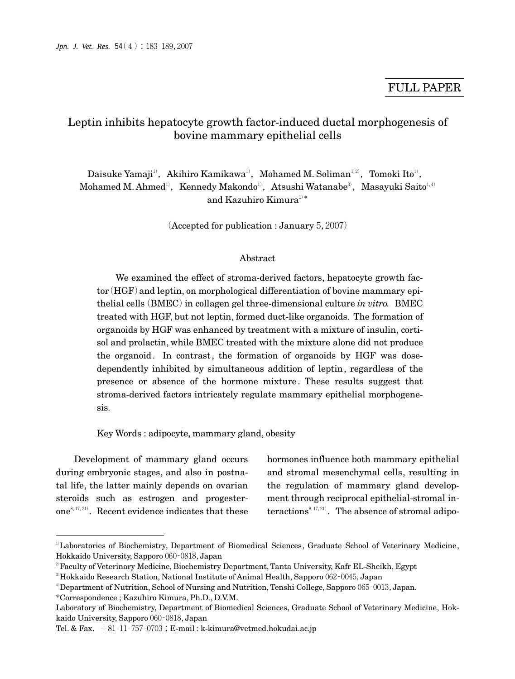# Leptin inhibits hepatocyte growth factor-induced ductal morphogenesis of bovine mammary epithelial cells

Daisuke Yamaji'<sup>)</sup>,Akihiro Kamikawa'<sup>)</sup>,Mohamed M. Soliman<sup>1,2)</sup>,Tomoki Ito<sup>1</sup>, Mohamed M. Ahmed<sup>1)</sup>, Kennedy Makondo<sup>1)</sup>, Atsushi Watanabe<sup>3)</sup>, Masayuki Saito<sup>1,4)</sup> and Kazuhiro Kimura $^{1)*}$ 

(Accepted for publication : January  $5,2007$ )

## Abstract

We examined the effect of stroma-derived factors, hepatocyte growth factor (HGF) and leptin, on morphological differentiation of bovine mammary epithelial cells (BMEC) in collagen gel three-dimensional culture *in vitro.* BMEC treated with HGF, but not leptin, formed duct-like organoids. The formation of organoids by HGF was enhanced by treatment with a mixture of insulin, cortisol and prolactin, while BMEC treated with the mixture alone did not produce the organoid. In contrast, the formation of organoids by HGF was dosedependently inhibited by simultaneous addition of leptin, regardless of the presence or absence of the hormone mixture. These results suggest that stroma-derived factors intricately regulate mammary epithelial morphogenesis.

Key Words : adipocyte, mammary gland, obesity

Development of mammary gland occurs during embryonic stages, and also in postnatal life, the latter mainly depends on ovarian steroids such as estrogen and progesterone<sup>8, 17, 21</sup>). Recent evidence indicates that these

hormones influence both mammary epithelial and stromal mesenchymal cells, resulting in the regulation of mammary gland development through reciprocal epithelial-stromal in- $\text{teractions}^{8,17,21}$ . The absence of stromal adipo-

<sup>&</sup>lt;sup>1)</sup>Laboratories of Biochemistry, Department of Biomedical Sciences, Graduate School of Veterinary Medicine, Hokkaido University, Sapporo 060-0818, Japan

<sup>2)</sup>Faculty of Veterinary Medicine, Biochemistry Department, Tanta University, Kafr EL-Sheikh, Egypt

<sup>&</sup>lt;sup>3)</sup>Hokkaido Research Station, National Institute of Animal Health, Sapporo 062-0045, Japan

 $4$ Department of Nutrition, School of Nursing and Nutrition, Tenshi College, Sapporo 065–0013, Japan.

<sup>\*</sup>Correspondence ; Kazuhiro Kimura, Ph.D., D.V.M.

Laboratory of Biochemistry, Department of Biomedical Sciences, Graduate School of Veterinary Medicine, Hokkaido University, Sapporo 060‐0818, Japan

Tel. & Fax.  $+81-11-757-0703$ ; E-mail : k-kimura@vetmed.hokudai.ac.jp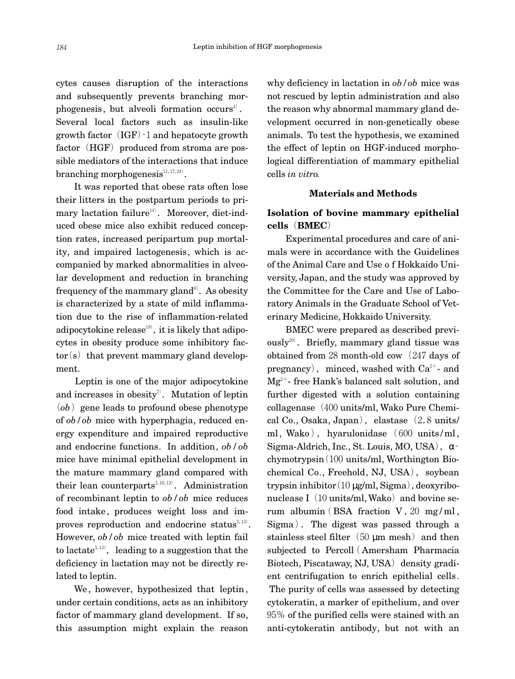cytes causes disruption of the interactions and subsequently prevents branching mor $phogenesis, but alveoli formation occurs<sup>4</sup>.$ Several local factors such as insulin-like growth factor  $(IGF) - 1$  and hepatocyte growth factor  $(HGF)$  produced from stroma are possible mediators of the interactions that induce  $\mathrm{branching}\ \text{morphogenesis}^{\mathit{11},\, \mathit{17},\, \mathit{24})}.$ 

It was reported that obese rats often lose their litters in the postpartum periods to pri $m$ ary lactation failure $^{14)}$ . Moreover, diet-induced obese mice also exhibit reduced conception rates, increased peripartum pup mortality, and impaired lactogenesis, which is accompanied by marked abnormalities in alveolar development and reduction in branching frequency of the mammary gland $^{\scriptscriptstyle 6\hspace{-.15cm} \prime}$  . As obesity is characterized by a state of mild inflammation due to the rise of inflammation-related adipocytokine release $^{19)}$ , it is likely that adipocytes in obesity produce some inhibitory fac $tor(s)$  that prevent mammary gland development.

Leptin is one of the major adipocytokine and increases in obesity<sup>7</sup>. Mutation of leptin  $(ob)$  gene leads to profound obese phenotype of *ob/ob* mice with hyperphagia, reduced energy expenditure and impaired reproductive and endocrine functions. In addition, *ob/ob* mice have minimal epithelial development in the mature mammary gland compared with their lean counterparts<sup>3,10,13)</sup>. Administration of recombinant leptin to *ob/ob* mice reduces food intake , produces weight loss and improves reproduction and endocrine status $3,13$ . However, *ob/ob* mice treated with leptin fail to lactate<sup>3,13</sup>, leading to a suggestion that the deficiency in lactation may not be directly related to leptin.

We, however, hypothesized that leptin , under certain conditions, acts as an inhibitory factor of mammary gland development. If so, this assumption might explain the reason why deficiency in lactation in *ob/ob* mice was not rescued by leptin administration and also the reason why abnormal mammary gland development occurred in non-genetically obese animals. To test the hypothesis, we examined the effect of leptin on HGF-induced morphological differentiation of mammary epithelial cells *in vitro.*

### **Materials and Methods**

## **Isolation of bovine mammary epithelial cells**(**BMEC**)

Experimental procedures and care of animals were in accordance with the Guidelines of the Animal Care and Use o f Hokkaido University, Japan, and the study was approved by the Committee for the Care and Use of Laboratory Animals in the Graduate School of Veterinary Medicine, Hokkaido University.

BMEC were prepared as described previously $^{20)}$ . Briefly, mammary gland tissue was obtained from 28 month-old cow (247 days of pregnancy), minced, washed with  $Ca^{2+}$ - and  $Mg^{2+}$ - free Hank's balanced salt solution, and further digested with a solution containing collagenase  $(400 \text{ units/ml}, \text{Wako Pure Chemi-}$ cal Co., Osaka, Japan), elastase $(2.8 \text{ units}/$ ml, Wako), hyarulonidase  $(600 \text{ units/ml}$ , Sigma-Aldrich, Inc., St. Louis, MO, USA),  $\alpha$  $chymotrypsin(100 units/ml, Worthington Bio$ chemical Co., Freehold, NJ, USA), soybean trypsin inhibitor $(10 \mu g/ml, Sigma)$ , deoxyribonuclease I $(10 \text{ units/ml}, \text{Wako})$  and bovine serum albumin (BSA fraction V, 20 mg/ml, Sigma). The digest was passed through a stainless steel filter $(50 \text{ µm mesh})$  and then subjected to Percoll( Amersham Pharmacia Biotech, Piscataway, NJ, USA) density gradient centrifugation to enrich epithelial cells. The purity of cells was assessed by detecting cytokeratin, a marker of epithelium, and over 95% of the purified cells were stained with an anti-cytokeratin antibody, but not with an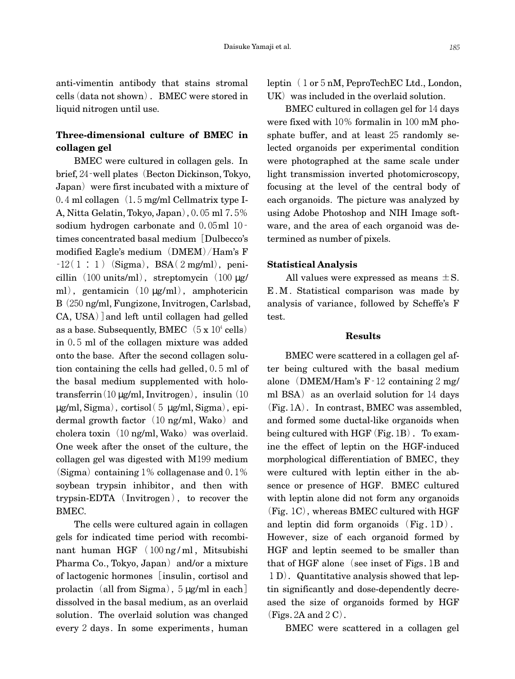anti-vimentin antibody that stains stromal cells (data not shown). BMEC were stored in liquid nitrogen until use.

# **Three-dimensional culture of BMEC in collagen gel**

BMEC were cultured in collagen gels. In brief, 24–well plates (Becton Dickinson, Tokyo, Japan) were first incubated with a mixture of  $0.4$  ml collagen $(1.5 \text{ mg/ml}$  Cellmatrix type I-A, Nitta Gelatin, Tokyo, Japan), 0.05 ml 7.5% sodium hydrogen carbonate and  $0.05$ ml 10 – times concentrated basal medium[Dulbecco's modified Eagle's medium  $(DMEM)/Ham$ 's F  $-12(1:1)$  (Sigma), BSA(2mg/ml), penicillin  $(100 \text{ units/ml})$ , streptomycin  $(100 \text{ µg/m})$ ml), gentamicin $(10 \mu g/ml)$ , amphotericin B(250ng/ml, Fungizone, Invitrogen, Carlsbad, CA, USA)]and left until collagen had gelled as a base. Subsequently, BMEC $(5 \times 10^4 \text{ cells})$ in0.5ml of the collagen mixture was added onto the base. After the second collagen solution containing the cells had gelled,0.5ml of the basal medium supplemented with holotransferrin(10  $\mu$ g/ml, Invitrogen), insulin(10)  $\mu$ g/ml, Sigma), cortisol(5  $\mu$ g/ml, Sigma), epidermal growth factor (10 ng/ml, Wako) and cholera toxin $(10 \text{ ng/ml}, \text{Wako})$  was overlaid. One week after the onset of the culture, the collagen gel was digested with M199 medium (Sigma) containing  $1\%$  collagenase and  $0.1\%$ soybean trypsin inhibitor, and then with  $t$ rvpsin-EDTA $(Invitrogen)$ , to recover the BMEC.

The cells were cultured again in collagen gels for indicated time period with recombinant human HGF (100ng / ml , Mitsubishi Pharma Co., Tokyo, Japan) and/or a mixture of lactogenic hormones[insulin, cortisol and prolactin (all from Sigma),  $5 \mu g/ml$  in each] dissolved in the basal medium, as an overlaid solution. The overlaid solution was changed every2days. In some experiments, human leptin (1 or 5 nM, PeproTechEC Ltd., London,  $UK)$  was included in the overlaid solution.

BMEC cultured in collagen gel for 14 days were fixed with  $10\%$  formalin in  $100$  mM phosphate buffer, and at least 25 randomly selected organoids per experimental condition were photographed at the same scale under light transmission inverted photomicroscopy, focusing at the level of the central body of each organoids. The picture was analyzed by using Adobe Photoshop and NIH Image software, and the area of each organoid was determined as number of pixels.

### **Statistical Analysis**

All values were expressed as means  $\pm$  S. E.M. Statistical comparison was made by analysis of variance, followed by Scheffe's F test.

#### **Results**

BMEC were scattered in a collagen gel after being cultured with the basal medium alone (DMEM/Ham's  $F - 12$  containing  $2 \text{ mg}/$ ml BSA) as an overlaid solution for  $14$  days  $(Fig.1A)$ . In contrast, BMEC was assembled, and formed some ductal-like organoids when being cultured with  $HGF$  (Fig. 1B). To examine the effect of leptin on the HGF-induced morphological differentiation of BMEC, they were cultured with leptin either in the absence or presence of HGF. BMEC cultured with leptin alone did not form any organoids  $(Fig. 1C)$ , whereas BMEC cultured with HGF and leptin did form organoids  $(Fig.1D)$ . However, size of each organoid formed by HGF and leptin seemed to be smaller than that of HGF alone (see inset of Figs. 1B and 1D). Quantitative analysis showed that leptin significantly and dose-dependently decreased the size of organoids formed by HGF  $(Figs. 2A$  and  $2C$ .

BMEC were scattered in a collagen gel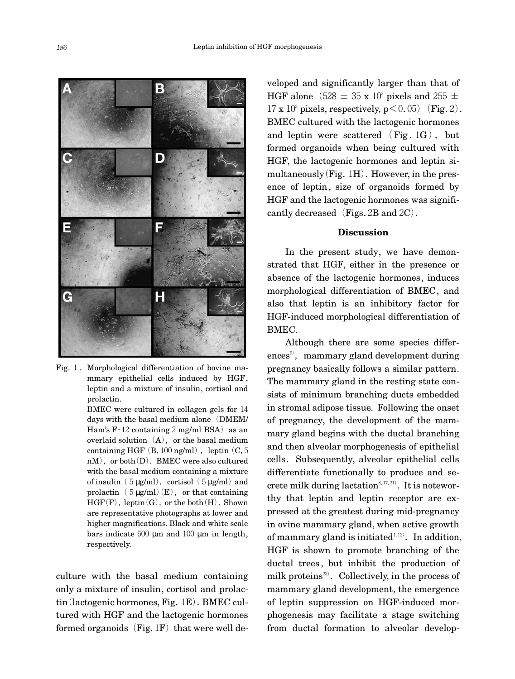

Fig.1.Morphological differentiation of bovine mammary epithelial cells induced by HGF, leptin and a mixture of insulin, cortisol and prolactin.

> BMEC were cultured in collagen gels for 14 days with the basal medium alone (DMEM/ Ham's  $F-12$  containing 2 mg/ml BSA) as an overlaid solution  $(A)$ , or the basal medium containing HGF $(B,100$ ng/ml $)$ , leptin $(C,5)$  $nM$ , or both $(D)$ . BMEC were also cultured with the basal medium containing a mixture of insulin (5  $\mu$ g/ml), cortisol (5  $\mu$ g/ml) and prolactin  $(5 \mu g/ml)(E)$ , or that containing  $HGF(F)$ , leptin(G), or the both(H). Shown are representative photographs at lower and higher magnifications. Black and white scale bars indicate  $500 \mu m$  and  $100 \mu m$  in length, respectively.

culture with the basal medium containing only a mixture of insulin, cortisol and prolactin(lactogenic hormones, Fig.1E).BMEC cultured with HGF and the lactogenic hormones formed organoids  $(Fig.1F)$  that were well de-

veloped and significantly larger than that of HGF alone (528  $\pm$  35 x 10<sup>3</sup> pixels and 255  $\pm$  $17 \times 10^3$  pixels, respectively,  $p \le 0.05$ ) (Fig. 2). BMEC cultured with the lactogenic hormones and leptin were scattered  $(Fig.1G)$ , but formed organoids when being cultured with HGF, the lactogenic hormones and leptin simultaneously  $(Fig. 1H)$ . However, in the presence of leptin, size of organoids formed by HGF and the lactogenic hormones was significantly decreased (Figs.  $2B$  and  $2C$ ).

#### **Discussion**

In the present study, we have demonstrated that HGF, either in the presence or absence of the lactogenic hormones, induces morphological differentiation of BMEC, and also that leptin is an inhibitory factor for HGF-induced morphological differentiation of BMEC.

Although there are some species differences<sup>9)</sup>, mammary gland development during pregnancy basically follows a similar pattern. The mammary gland in the resting state consists of minimum branching ducts embedded in stromal adipose tissue. Following the onset of pregnancy, the development of the mammary gland begins with the ductal branching and then alveolar morphogenesis of epithelial cells. Subsequently, alveolar epithelial cells differentiate functionally to produce and secrete milk during lactation $8,17,21)$ . It is noteworthy that leptin and leptin receptor are expressed at the greatest during mid-pregnancy in ovine mammary gland, when active growth of mammary gland is initiated $1,12$ . In addition, HGF is shown to promote branching of the ductal trees, but inhibit the production of milk proteins<sup>23</sup>. Collectively, in the process of mammary gland development, the emergence of leptin suppression on HGF-induced morphogenesis may facilitate a stage switching from ductal formation to alveolar develop-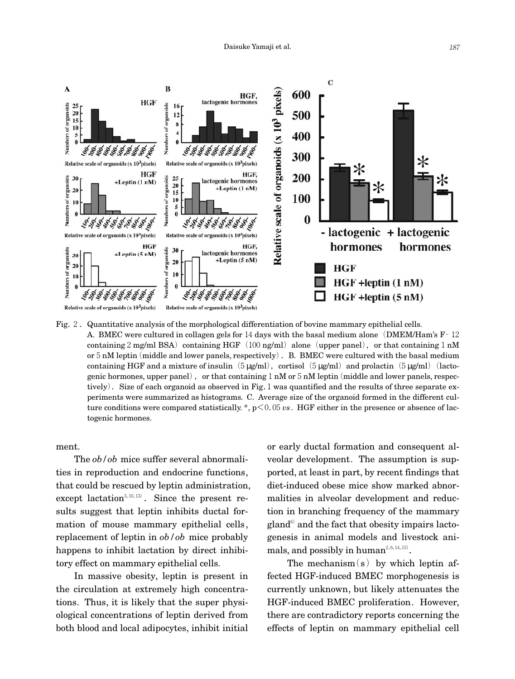

Fig. 2. Quantitative analysis of the morphological differentiation of bovine mammary epithelial cells. A. BMEC were cultured in collagen gels for 14 days with the basal medium alone (DMEM/Ham's  $F - 12$ ) containing  $2 \text{ mg/ml BSA}$  containing HGF (100 ng/ml) alone (upper panel), or that containing 1 nM or  $5 \text{ nM}$  leptin (middle and lower panels, respectively). B. BMEC were cultured with the basal medium containing HGF and a mixture of insulin  $(5 \mu g/ml)$ , cortisol  $(5 \mu g/ml)$  and prolactin  $(5 \mu g/ml)$  (lactogenic hormones, upper panel), or that containing  $1 \text{ nM}$  or  $5 \text{ nM}$  leptin (middle and lower panels, respectively). Size of each organoid as observed in Fig.  $1$  was quantified and the results of three separate experiments were summarized as histograms. C. Average size of the organoid formed in the different culture conditions were compared statistically. \*, p<0.05*vs*. HGF either in the presence or absence of lactogenic hormones.

ment.

The *ob/ob* mice suffer several abnormalities in reproduction and endocrine functions, that could be rescued by leptin administration, except lactation<sup>3, 10, 13)</sup>. Since the present results suggest that leptin inhibits ductal formation of mouse mammary epithelial cells, replacement of leptin in *ob/ob* mice probably happens to inhibit lactation by direct inhibitory effect on mammary epithelial cells.

In massive obesity, leptin is present in the circulation at extremely high concentrations. Thus, it is likely that the super physiological concentrations of leptin derived from both blood and local adipocytes, inhibit initial or early ductal formation and consequent alveolar development. The assumption is supported, at least in part, by recent findings that diet-induced obese mice show marked abnormalities in alveolar development and reduction in branching frequency of the mammary  $\text{gland}^6$  and the fact that obesity impairs lactogenesis in animal models and livestock animals, and possibly in human $^{2,6,14,15)}$ .

The mechanism $(s)$  by which leptin affected HGF-induced BMEC morphogenesis is currently unknown, but likely attenuates the HGF-induced BMEC proliferation. However, there are contradictory reports concerning the effects of leptin on mammary epithelial cell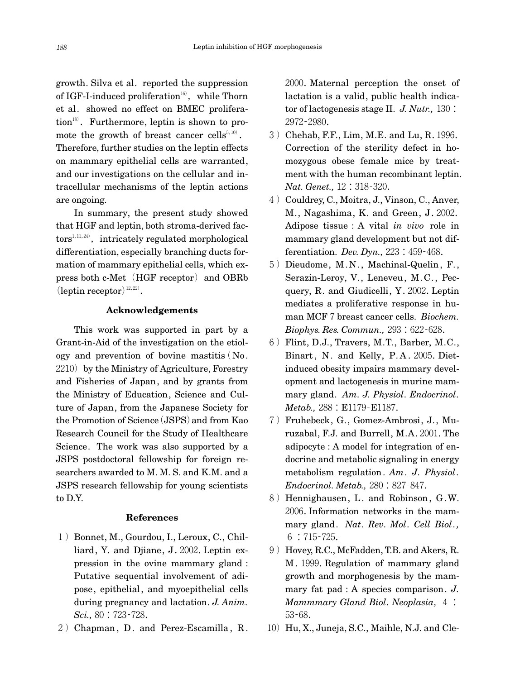growth. Silva et al. reported the suppression of IGF-I-induced proliferation $^{16)}$ , while Thorn et al. showed no effect on BMEC proliferation<sup>18)</sup>. Furthermore, leptin is shown to promote the growth of breast cancer cells<sup>5,10)</sup>. Therefore, further studies on the leptin effects on mammary epithelial cells are warranted, and our investigations on the cellular and intracellular mechanisms of the leptin actions are ongoing.

In summary, the present study showed that HGF and leptin, both stroma-derived fac- $\text{tors}^{1,11,24}$ , intricately regulated morphological differentiation, especially branching ducts formation of mammary epithelial cells, which express both c-Met (HGF receptor) and OBRb  $\text{(leptin receptor)}^{\scriptscriptstyle{12,22\text{}}}.$ 

## **Acknowledgements**

This work was supported in part by a Grant-in-Aid of the investigation on the etiology and prevention of bovine mastitis  $No$ .  $2210$  by the Ministry of Agriculture, Forestry and Fisheries of Japan, and by grants from the Ministry of Education, Science and Culture of Japan, from the Japanese Society for the Promotion of Science(JSPS)and from Kao Research Council for the Study of Healthcare Science. The work was also supported by a JSPS postdoctoral fellowship for foreign researchers awarded to M. M. S. and K.M. and a JSPS research fellowship for young scientists to D.Y.

#### **References**

- 1) Bonnet, M., Gourdou, I., Leroux, C., Chilliard, Y. and Djiane, J.2002.Leptin expression in the ovine mammary gland : Putative sequential involvement of adipose, epithelial, and myoepithelial cells during pregnancy and lactation. *J. Anim. Sci.,*80:723‐728.
- 2) Chapman, D. and Perez-Escamilla, R.

2000.Maternal perception the onset of lactation is a valid, public health indicator of lactogenesis stage II. *J. Nutr.,*130: 2972‐2980.

- 3)Chehab, F.F., Lim, M.E. and Lu, R.1996. Correction of the sterility defect in homozygous obese female mice by treatment with the human recombinant leptin. *Nat. Genet.,*12:318‐320.
- 4) Couldrey, C., Moitra, J., Vinson, C., Anver, M., Nagashima, K. and Green, J.2002. Adipose tissue : A vital *in vivo* role in mammary gland development but not differentiation. *Dev. Dyn.,*223:459‐468.
- 5) Dieudome, M.N., Machinal-Quelin, F., Serazin-Leroy, V., Leneveu, M.C., Pecquery, R. and Giudicelli, Y.2002.Leptin mediates a proliferative response in human MCF7breast cancer cells. *Biochem. Biophys. Res. Commun.,*293:622‐628.
- $6)$  Flint, D.J., Travers, M.T., Barber, M.C., Binart, N. and Kelly, P.A. 2005. Dietinduced obesity impairs mammary development and lactogenesis in murine mammary gland. *Am. J. Physiol. Endocrinol. Metab.,*288:E1179‐E1187.
- 7)Fruhebeck, G., Gomez-Ambrosi, J., Muruzabal, F.J. and Burrell, M.A.2001.The adipocyte : A model for integration of endocrine and metabolic signaling in energy metabolism regulation. *Am. J. Physiol. Endocrinol. Metab.,*280:827‐847.
- 8) Hennighausen, L. and Robinson, G.W. 2006.Information networks in the mammary gland. *Nat. Rev. Mol. Cell Biol.,* 6:715‐725.
- 9) Hovey, R.C., McFadden, T.B. and Akers, R. M.1999.Regulation of mammary gland growth and morphogenesis by the mammary fat pad : A species comparison. *J. Mammmary Gland Biol. Neoplasia,* 4: 53‐68.
- 10) Hu, X., Juneja, S.C., Maihle, N.J. and Cle-